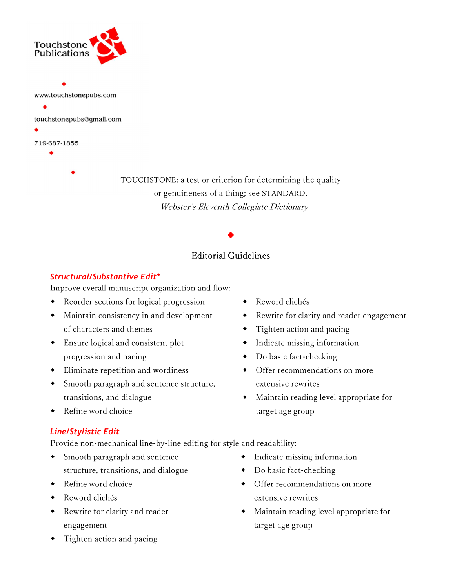

TOUCHSTONE: a test or criterion for determining the quality or genuineness of a thing; see STANDARD. – Webster's Eleventh Collegiate Dictionary

# Editorial Guidelines

 $\blacklozenge$ 

# Structural/Substantive Edit\*

Improve overall manuscript organization and flow:

- Reorder sections for logical progression
- Maintain consistency in and development of characters and themes
- Ensure logical and consistent plot progression and pacing
- Eliminate repetition and wordiness
- Smooth paragraph and sentence structure, transitions, and dialogue
- Refine word choice

# Line/Stylistic Edit

Provide non-mechanical line-by-line editing for style and readability:

- Smooth paragraph and sentence structure, transitions, and dialogue
- Refine word choice
- Reword clichés
- Rewrite for clarity and reader engagement
- Tighten action and pacing
- Reword clichés
- Rewrite for clarity and reader engagement
- Tighten action and pacing
- Indicate missing information
- Do basic fact-checking
- Offer recommendations on more extensive rewrites
- Maintain reading level appropriate for target age group
- Indicate missing information
- Do basic fact-checking
- Offer recommendations on more extensive rewrites
- Maintain reading level appropriate for target age group